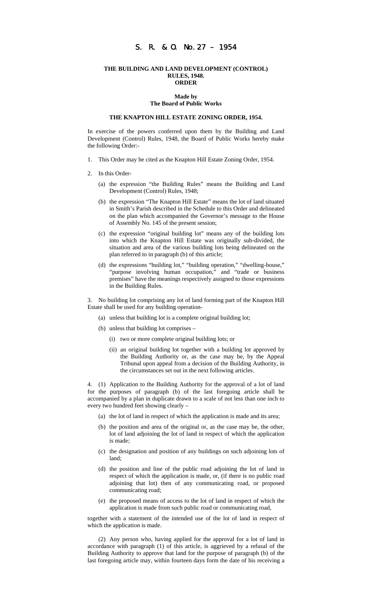# S. R. & O. No.27 – 1954

#### **THE BUILDING AND LAND DEVELOPMENT (CONTROL) RULES, 1948. ORDER**

# **Made by The Board of Public Works**

#### **THE KNAPTON HILL ESTATE ZONING ORDER, 1954.**

In exercise of the powers conferred upon them by the Building and Land Development (Control) Rules, 1948, the Board of Public Works hereby make the following Order:-

- 1. This Order may be cited as the Knapton Hill Estate Zoning Order, 1954.
- 2. In this Order-
	- (a) the expression "the Building Rules" means the Building and Land Development (Control) Rules, 1948;
	- (b) the expression "The Knapton Hill Estate" means the lot of land situated in Smith's Parish described in the Schedule to this Order and delineated on the plan which accompanied the Governor's message to the House of Assembly No. 145 of the present session;
	- (c) the expression "original building lot" means any of the building lots into which the Knapton Hill Estate was originally sub-divided, the situation and area of the various building lots being delineated on the plan referred to in paragraph (b) of this article;
	- (d) the expressions "building lot," "building operation," "dwelling-house," "purpose involving human occupation," and "trade or business premises" have the meanings respectively assigned to those expressions in the Building Rules.

3. No building lot comprising any lot of land forming part of the Knapton Hill Estate shall be used for any building operation-

(a) unless that building lot is a complete original building lot;

- (b) unless that building lot comprises
	- (i) two or more complete original building lots; or
	- (ii) an original building lot together with a building lot approved by the Building Authority or, as the case may be, by the Appeal Tribunal upon appeal from a decision of the Building Authority, in the circumstances set out in the next following articles.

4. (1) Application to the Building Authority for the approval of a lot of land for the purposes of paragraph (b) of the last foregoing article shall be accompanied by a plan in duplicate drawn to a scale of not less than one inch to every two hundred feet showing clearly –

- (a) the lot of land in respect of which the application is made and its area;
- (b) the position and area of the original or, as the case may be, the other, lot of land adjoining the lot of land in respect of which the application is made;
- (c) the designation and position of any buildings on such adjoining lots of land;
- (d) the position and line of the public road adjoining the lot of land in respect of which the application is made, or, (if there is no public road adjoining that lot) then of any communicating road, or proposed communicating road;
- (e) the proposed means of access to the lot of land in respect of which the application is made from such public road or communicating road,

together with a statement of the intended use of the lot of land in respect of which the application is made.

(2) Any person who, having applied for the approval for a lot of land in accordance with paragraph (1) of this article, is aggrieved by a refusal of the Building Authority to approve that land for the purpose of paragraph (b) of the last foregoing article may, within fourteen days form the date of his receiving a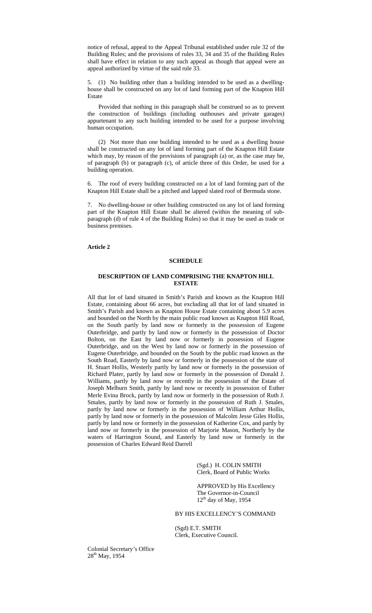notice of refusal, appeal to the Appeal Tribunal established under rule 32 of the Building Rules; and the provisions of rules 33, 34 and 35 of the Building Rules shall have effect in relation to any such appeal as though that appeal were an appeal authorized by virtue of the said rule 33.

5. (1) No building other than a building intended to be used as a dwellinghouse shall be constructed on any lot of land forming part of the Knapton Hill Estate

Provided that nothing in this paragraph shall be construed so as to prevent the construction of buildings (including outhouses and private garages) appurtenant to any such building intended to be used for a purpose involving human occupation.

(2) Not more than one building intended to be used as a dwelling house shall be constructed on any lot of land forming part of the Knapton Hill Estate which may, by reason of the provisions of paragraph (a) or, as the case may be, of paragraph (b) or paragraph (c), of article three of this Order, be used for a building operation.

6. The roof of every building constructed on a lot of land forming part of the Knapton Hill Estate shall be a pitched and lapped slated roof of Bermuda stone.

7. No dwelling-house or other building constructed on any lot of land forming part of the Knapton Hill Estate shall be altered (within the meaning of subparagraph (d) of rule 4 of the Building Rules) so that it may be used as trade or business premises.

#### **Article 2**

# **SCHEDULE**

# **DESCRIPTION OF LAND COMPRISING THE KNAPTON HILL ESTATE**

All that lot of land situated in Smith's Parish and known as the Knapton Hill Estate, containing about 66 acres, but excluding all that lot of land situated in Smith's Parish and known as Knapton House Estate containing about 5.9 acres and bounded on the North by the main public road known as Knapton Hill Road, on the South partly by land now or formerly in the possession of Eugene Outerbridge, and partly by land now or formerly in the possession of Doctor Bolton, on the East by land now or formerly in possession of Eugene Outerbridge, and on the West by land now or formerly in the possession of Eugene Outerbridge, and bounded on the South by the public road known as the South Road, Easterly by land now or formerly in the possession of the state of H. Stuart Hollis, Westerly partly by land now or formerly in the possession of Richard Plater, partly by land now or formerly in the possession of Donald J. Williams, partly by land now or recently in the possession of the Estate of Joseph Melburn Smith, partly by land now or recently in possession of Esther Merle Evina Brock, partly by land now or formerly in the possession of Ruth J. Smales, partly by land now or formerly in the possession of Ruth J. Smales, partly by land now or formerly in the possession of William Arthur Hollis, partly by land now or formerly in the possession of Malcolm Jesse Giles Hollis, partly by land now or formerly in the possession of Katherine Cox, and partly by land now or formerly in the possession of Marjorie Mason, Northerly by the waters of Harrington Sound, and Easterly by land now or formerly in the possession of Charles Edward Reid Darrell

> (Sgd.) H. COLIN SMITH Clerk, Board of Public Works

APPROVED by His Excellency The Governor-in-Council  $12<sup>th</sup>$  day of May, 1954

# BY HIS EXCELLENCY'S COMMAND

(Sgd) E.T. SMITH Clerk, Executive Council.

Colonial Secretary's Office 28<sup>th</sup> May, 1954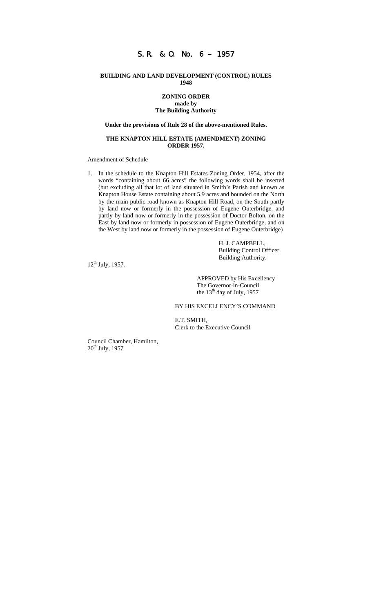# **BUILDING AND LAND DEVELOPMENT (CONTROL) RULES 1948**

# **ZONING ORDER made by The Building Authority**

# **Under the provisions of Rule 28 of the above-mentioned Rules.**

# **THE KNAPTON HILL ESTATE (AMENDMENT) ZONING ORDER 1957.**

#### Amendment of Schedule

1. In the schedule to the Knapton Hill Estates Zoning Order, 1954, after the words "containing about 66 acres" the following words shall be inserted (but excluding all that lot of land situated in Smith's Parish and known as Knapton House Estate containing about 5.9 acres and bounded on the North by the main public road known as Knapton Hill Road, on the South partly by land now or formerly in the possession of Eugene Outerbridge, and partly by land now or formerly in the possession of Doctor Bolton, on the East by land now or formerly in possession of Eugene Outerbridge, and on the West by land now or formerly in the possession of Eugene Outerbridge)

> H. J. CAMPBELL, Building Control Officer. Building Authority.

 $12^{th}$  July, 1957.

APPROVED by His Excellency The Governor-in-Council the 13<sup>th</sup> day of July, 1957

BY HIS EXCELLENCY'S COMMAND

E.T. SMITH, Clerk to the Executive Council

Council Chamber, Hamilton,  $20<sup>th</sup>$  July, 1957